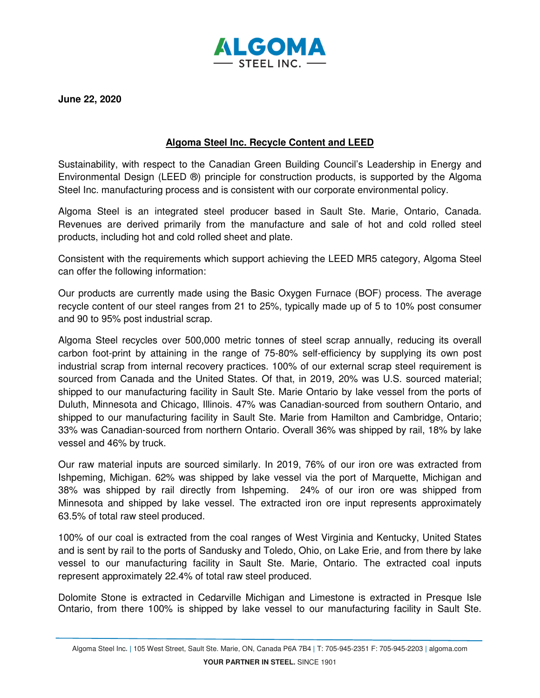

**June 22, 2020** 

## **Algoma Steel Inc. Recycle Content and LEED**

Sustainability, with respect to the Canadian Green Building Council's Leadership in Energy and Environmental Design (LEED ®) principle for construction products, is supported by the Algoma Steel Inc. manufacturing process and is consistent with our corporate environmental policy.

Algoma Steel is an integrated steel producer based in Sault Ste. Marie, Ontario, Canada. Revenues are derived primarily from the manufacture and sale of hot and cold rolled steel products, including hot and cold rolled sheet and plate.

Consistent with the requirements which support achieving the LEED MR5 category, Algoma Steel can offer the following information:

Our products are currently made using the Basic Oxygen Furnace (BOF) process. The average recycle content of our steel ranges from 21 to 25%, typically made up of 5 to 10% post consumer and 90 to 95% post industrial scrap.

Algoma Steel recycles over 500,000 metric tonnes of steel scrap annually, reducing its overall carbon foot-print by attaining in the range of 75-80% self-efficiency by supplying its own post industrial scrap from internal recovery practices. 100% of our external scrap steel requirement is sourced from Canada and the United States. Of that, in 2019, 20% was U.S. sourced material; shipped to our manufacturing facility in Sault Ste. Marie Ontario by lake vessel from the ports of Duluth, Minnesota and Chicago, Illinois. 47% was Canadian-sourced from southern Ontario, and shipped to our manufacturing facility in Sault Ste. Marie from Hamilton and Cambridge, Ontario; 33% was Canadian-sourced from northern Ontario. Overall 36% was shipped by rail, 18% by lake vessel and 46% by truck.

Our raw material inputs are sourced similarly. In 2019, 76% of our iron ore was extracted from Ishpeming, Michigan. 62% was shipped by lake vessel via the port of Marquette, Michigan and 38% was shipped by rail directly from Ishpeming. 24% of our iron ore was shipped from Minnesota and shipped by lake vessel. The extracted iron ore input represents approximately 63.5% of total raw steel produced.

100% of our coal is extracted from the coal ranges of West Virginia and Kentucky, United States and is sent by rail to the ports of Sandusky and Toledo, Ohio, on Lake Erie, and from there by lake vessel to our manufacturing facility in Sault Ste. Marie, Ontario. The extracted coal inputs represent approximately 22.4% of total raw steel produced.

Dolomite Stone is extracted in Cedarville Michigan and Limestone is extracted in Presque Isle Ontario, from there 100% is shipped by lake vessel to our manufacturing facility in Sault Ste.